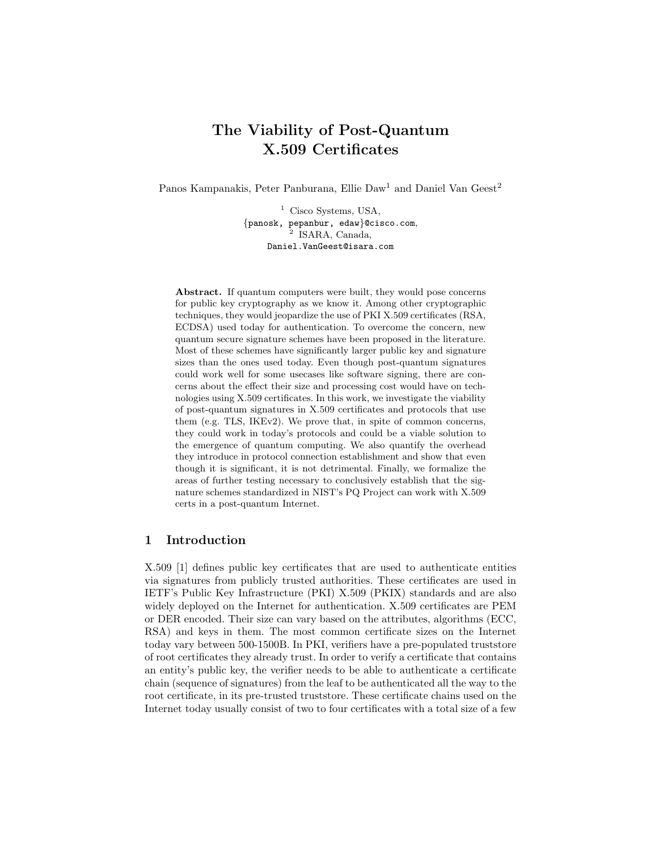# The Viability of Post-Quantum X.509 Certificates

Panos Kampanakis, Peter Panburana, Ellie Daw<sup>1</sup> and Daniel Van Geest<sup>2</sup>

 $^1$  Cisco Systems, USA, {panosk, pepanbur, edaw}@cisco.com, 2 ISARA, Canada, Daniel.VanGeest@isara.com

Abstract. If quantum computers were built, they would pose concerns for public key cryptography as we know it. Among other cryptographic techniques, they would jeopardize the use of PKI X.509 certificates (RSA, ECDSA) used today for authentication. To overcome the concern, new quantum secure signature schemes have been proposed in the literature. Most of these schemes have significantly larger public key and signature sizes than the ones used today. Even though post-quantum signatures could work well for some usecases like software signing, there are concerns about the effect their size and processing cost would have on technologies using X.509 certificates. In this work, we investigate the viability of post-quantum signatures in X.509 certificates and protocols that use them (e.g. TLS, IKEv2). We prove that, in spite of common concerns, they could work in today's protocols and could be a viable solution to the emergence of quantum computing. We also quantify the overhead they introduce in protocol connection establishment and show that even though it is significant, it is not detrimental. Finally, we formalize the areas of further testing necessary to conclusively establish that the signature schemes standardized in NIST's PQ Project can work with X.509 certs in a post-quantum Internet.

# 1 Introduction

X.509 [1] defines public key certificates that are used to authenticate entities via signatures from publicly trusted authorities. These certificates are used in IETF's Public Key Infrastructure (PKI) X.509 (PKIX) standards and are also widely deployed on the Internet for authentication. X.509 certificates are PEM or DER encoded. Their size can vary based on the attributes, algorithms (ECC, RSA) and keys in them. The most common certificate sizes on the Internet today vary between 500-1500B. In PKI, verifiers have a pre-populated truststore of root certificates they already trust. In order to verify a certificate that contains an entity's public key, the verifier needs to be able to authenticate a certificate chain (sequence of signatures) from the leaf to be authenticated all the way to the root certificate, in its pre-trusted truststore. These certificate chains used on the Internet today usually consist of two to four certificates with a total size of a few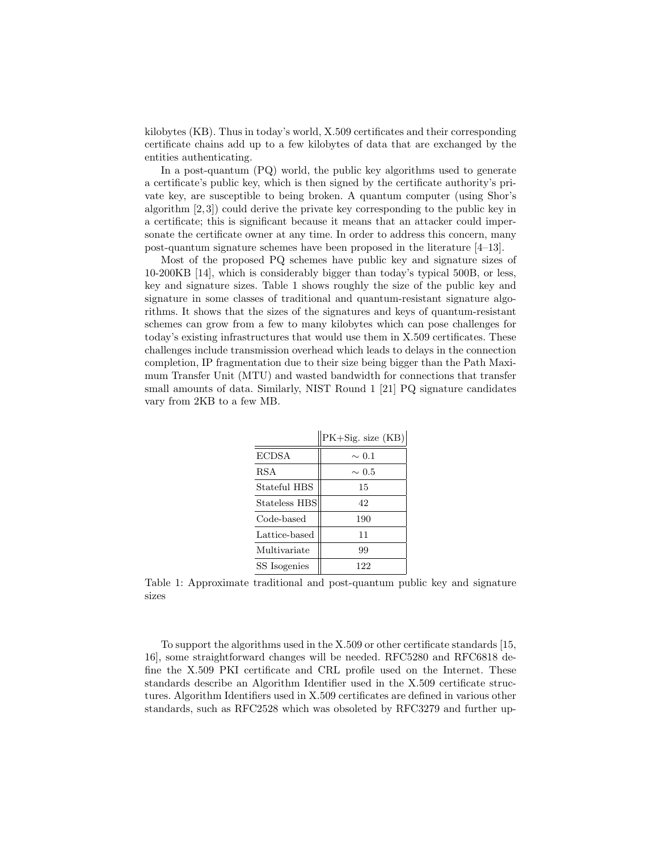kilobytes (KB). Thus in today's world, X.509 certificates and their corresponding certificate chains add up to a few kilobytes of data that are exchanged by the entities authenticating.

In a post-quantum (PQ) world, the public key algorithms used to generate a certificate's public key, which is then signed by the certificate authority's private key, are susceptible to being broken. A quantum computer (using Shor's algorithm [2, 3]) could derive the private key corresponding to the public key in a certificate; this is significant because it means that an attacker could impersonate the certificate owner at any time. In order to address this concern, many post-quantum signature schemes have been proposed in the literature [4–13].

Most of the proposed PQ schemes have public key and signature sizes of 10-200KB [14], which is considerably bigger than today's typical 500B, or less, key and signature sizes. Table 1 shows roughly the size of the public key and signature in some classes of traditional and quantum-resistant signature algorithms. It shows that the sizes of the signatures and keys of quantum-resistant schemes can grow from a few to many kilobytes which can pose challenges for today's existing infrastructures that would use them in X.509 certificates. These challenges include transmission overhead which leads to delays in the connection completion, IP fragmentation due to their size being bigger than the Path Maximum Transfer Unit (MTU) and wasted bandwidth for connections that transfer small amounts of data. Similarly, NIST Round 1 [21] PQ signature candidates vary from 2KB to a few MB.

|                  | $ PK+Sig. size (KB) $ |
|------------------|-----------------------|
| ECDSA            | $\sim 0.1$            |
| RSA              | $\sim 0.5$            |
| Stateful HBS     | 15                    |
| Stateless HBS    | 42                    |
| Code-based       | 190                   |
| $Lattice$ -based | 11                    |
| Multivariate     | 99                    |
| SS Isogenies     | 122                   |

Table 1: Approximate traditional and post-quantum public key and signature sizes

To support the algorithms used in the X.509 or other certificate standards [15, 16], some straightforward changes will be needed. RFC5280 and RFC6818 define the X.509 PKI certificate and CRL profile used on the Internet. These standards describe an Algorithm Identifier used in the X.509 certificate structures. Algorithm Identifiers used in X.509 certificates are defined in various other standards, such as RFC2528 which was obsoleted by RFC3279 and further up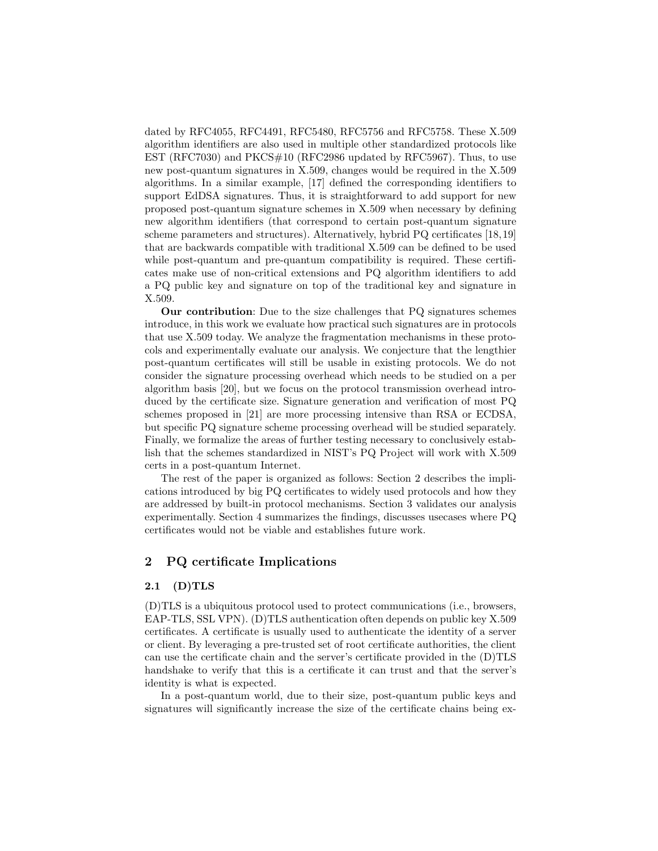dated by RFC4055, RFC4491, RFC5480, RFC5756 and RFC5758. These X.509 algorithm identifiers are also used in multiple other standardized protocols like EST (RFC7030) and PKCS $\#10$  (RFC2986 updated by RFC5967). Thus, to use new post-quantum signatures in X.509, changes would be required in the X.509 algorithms. In a similar example, [17] defined the corresponding identifiers to support EdDSA signatures. Thus, it is straightforward to add support for new proposed post-quantum signature schemes in X.509 when necessary by defining new algorithm identifiers (that correspond to certain post-quantum signature scheme parameters and structures). Alternatively, hybrid PQ certificates [18,19] that are backwards compatible with traditional X.509 can be defined to be used while post-quantum and pre-quantum compatibility is required. These certificates make use of non-critical extensions and PQ algorithm identifiers to add a PQ public key and signature on top of the traditional key and signature in X.509.

Our contribution: Due to the size challenges that PQ signatures schemes introduce, in this work we evaluate how practical such signatures are in protocols that use X.509 today. We analyze the fragmentation mechanisms in these protocols and experimentally evaluate our analysis. We conjecture that the lengthier post-quantum certificates will still be usable in existing protocols. We do not consider the signature processing overhead which needs to be studied on a per algorithm basis [20], but we focus on the protocol transmission overhead introduced by the certificate size. Signature generation and verification of most PQ schemes proposed in [21] are more processing intensive than RSA or ECDSA, but specific PQ signature scheme processing overhead will be studied separately. Finally, we formalize the areas of further testing necessary to conclusively establish that the schemes standardized in NIST's PQ Project will work with X.509 certs in a post-quantum Internet.

The rest of the paper is organized as follows: Section 2 describes the implications introduced by big PQ certificates to widely used protocols and how they are addressed by built-in protocol mechanisms. Section 3 validates our analysis experimentally. Section 4 summarizes the findings, discusses usecases where PQ certificates would not be viable and establishes future work.

# 2 PQ certificate Implications

#### $2.1$  (D)TLS

(D)TLS is a ubiquitous protocol used to protect communications (i.e., browsers, EAP-TLS, SSL VPN). (D)TLS authentication often depends on public key X.509 certificates. A certificate is usually used to authenticate the identity of a server or client. By leveraging a pre-trusted set of root certificate authorities, the client can use the certificate chain and the server's certificate provided in the (D)TLS handshake to verify that this is a certificate it can trust and that the server's identity is what is expected.

In a post-quantum world, due to their size, post-quantum public keys and signatures will significantly increase the size of the certificate chains being ex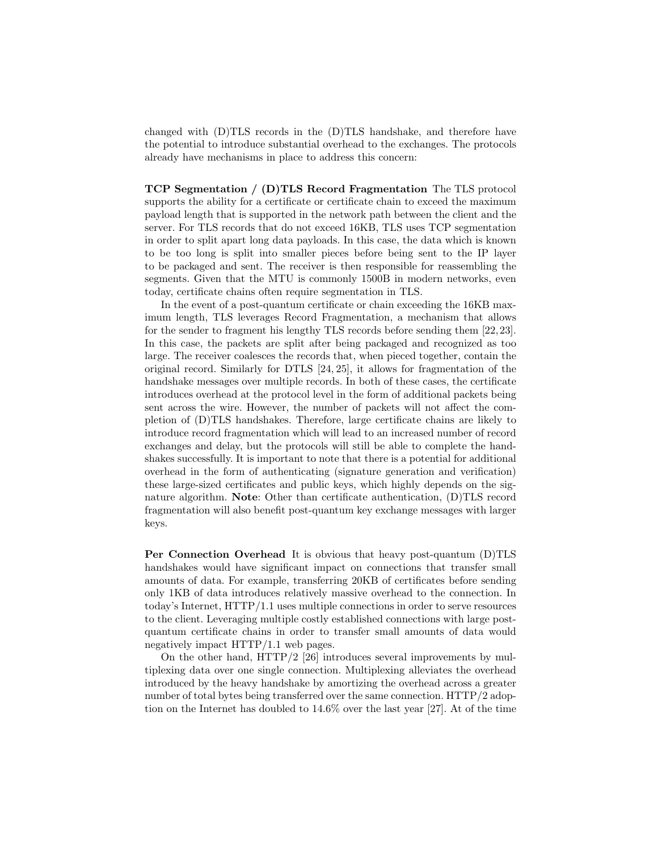changed with (D)TLS records in the (D)TLS handshake, and therefore have the potential to introduce substantial overhead to the exchanges. The protocols already have mechanisms in place to address this concern:

TCP Segmentation / (D)TLS Record Fragmentation The TLS protocol supports the ability for a certificate or certificate chain to exceed the maximum payload length that is supported in the network path between the client and the server. For TLS records that do not exceed 16KB, TLS uses TCP segmentation in order to split apart long data payloads. In this case, the data which is known to be too long is split into smaller pieces before being sent to the IP layer to be packaged and sent. The receiver is then responsible for reassembling the segments. Given that the MTU is commonly 1500B in modern networks, even today, certificate chains often require segmentation in TLS.

In the event of a post-quantum certificate or chain exceeding the 16KB maximum length, TLS leverages Record Fragmentation, a mechanism that allows for the sender to fragment his lengthy TLS records before sending them [22, 23]. In this case, the packets are split after being packaged and recognized as too large. The receiver coalesces the records that, when pieced together, contain the original record. Similarly for DTLS [24, 25], it allows for fragmentation of the handshake messages over multiple records. In both of these cases, the certificate introduces overhead at the protocol level in the form of additional packets being sent across the wire. However, the number of packets will not affect the completion of (D)TLS handshakes. Therefore, large certificate chains are likely to introduce record fragmentation which will lead to an increased number of record exchanges and delay, but the protocols will still be able to complete the handshakes successfully. It is important to note that there is a potential for additional overhead in the form of authenticating (signature generation and verification) these large-sized certificates and public keys, which highly depends on the signature algorithm. Note: Other than certificate authentication, (D)TLS record fragmentation will also benefit post-quantum key exchange messages with larger keys.

Per Connection Overhead It is obvious that heavy post-quantum (D)TLS handshakes would have significant impact on connections that transfer small amounts of data. For example, transferring 20KB of certificates before sending only 1KB of data introduces relatively massive overhead to the connection. In today's Internet, HTTP/1.1 uses multiple connections in order to serve resources to the client. Leveraging multiple costly established connections with large postquantum certificate chains in order to transfer small amounts of data would negatively impact HTTP/1.1 web pages.

On the other hand, HTTP/2 [26] introduces several improvements by multiplexing data over one single connection. Multiplexing alleviates the overhead introduced by the heavy handshake by amortizing the overhead across a greater number of total bytes being transferred over the same connection. HTTP/2 adoption on the Internet has doubled to 14.6% over the last year [27]. At of the time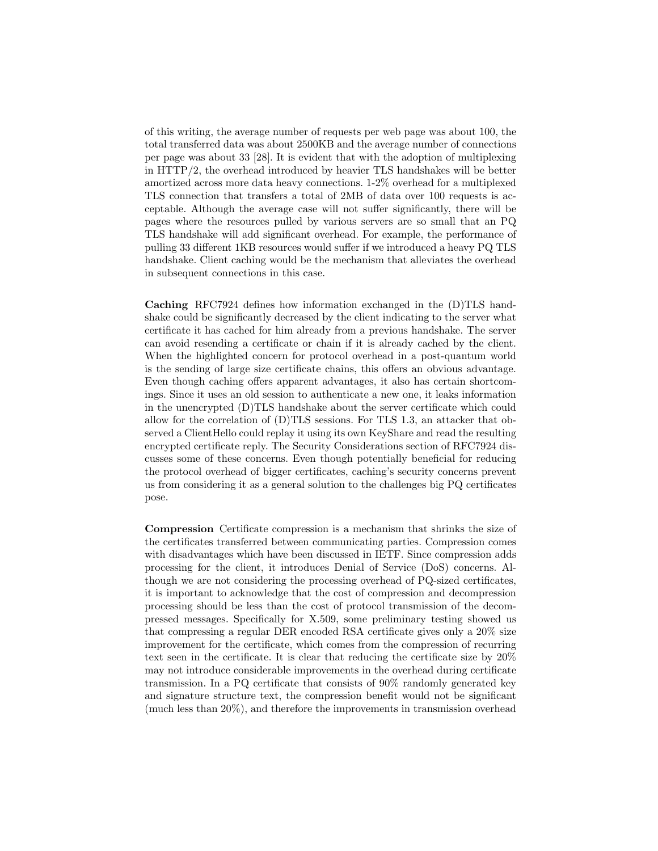of this writing, the average number of requests per web page was about 100, the total transferred data was about 2500KB and the average number of connections per page was about 33 [28]. It is evident that with the adoption of multiplexing in HTTP/2, the overhead introduced by heavier TLS handshakes will be better amortized across more data heavy connections. 1-2% overhead for a multiplexed TLS connection that transfers a total of 2MB of data over 100 requests is acceptable. Although the average case will not suffer significantly, there will be pages where the resources pulled by various servers are so small that an PQ TLS handshake will add significant overhead. For example, the performance of pulling 33 different 1KB resources would suffer if we introduced a heavy PQ TLS handshake. Client caching would be the mechanism that alleviates the overhead in subsequent connections in this case.

Caching RFC7924 defines how information exchanged in the (D)TLS handshake could be significantly decreased by the client indicating to the server what certificate it has cached for him already from a previous handshake. The server can avoid resending a certificate or chain if it is already cached by the client. When the highlighted concern for protocol overhead in a post-quantum world is the sending of large size certificate chains, this offers an obvious advantage. Even though caching offers apparent advantages, it also has certain shortcomings. Since it uses an old session to authenticate a new one, it leaks information in the unencrypted (D)TLS handshake about the server certificate which could allow for the correlation of (D)TLS sessions. For TLS 1.3, an attacker that observed a ClientHello could replay it using its own KeyShare and read the resulting encrypted certificate reply. The Security Considerations section of RFC7924 discusses some of these concerns. Even though potentially beneficial for reducing the protocol overhead of bigger certificates, caching's security concerns prevent us from considering it as a general solution to the challenges big PQ certificates pose.

Compression Certificate compression is a mechanism that shrinks the size of the certificates transferred between communicating parties. Compression comes with disadvantages which have been discussed in IETF. Since compression adds processing for the client, it introduces Denial of Service (DoS) concerns. Although we are not considering the processing overhead of PQ-sized certificates, it is important to acknowledge that the cost of compression and decompression processing should be less than the cost of protocol transmission of the decompressed messages. Specifically for X.509, some preliminary testing showed us that compressing a regular DER encoded RSA certificate gives only a 20% size improvement for the certificate, which comes from the compression of recurring text seen in the certificate. It is clear that reducing the certificate size by 20% may not introduce considerable improvements in the overhead during certificate transmission. In a PQ certificate that consists of 90% randomly generated key and signature structure text, the compression benefit would not be significant (much less than 20%), and therefore the improvements in transmission overhead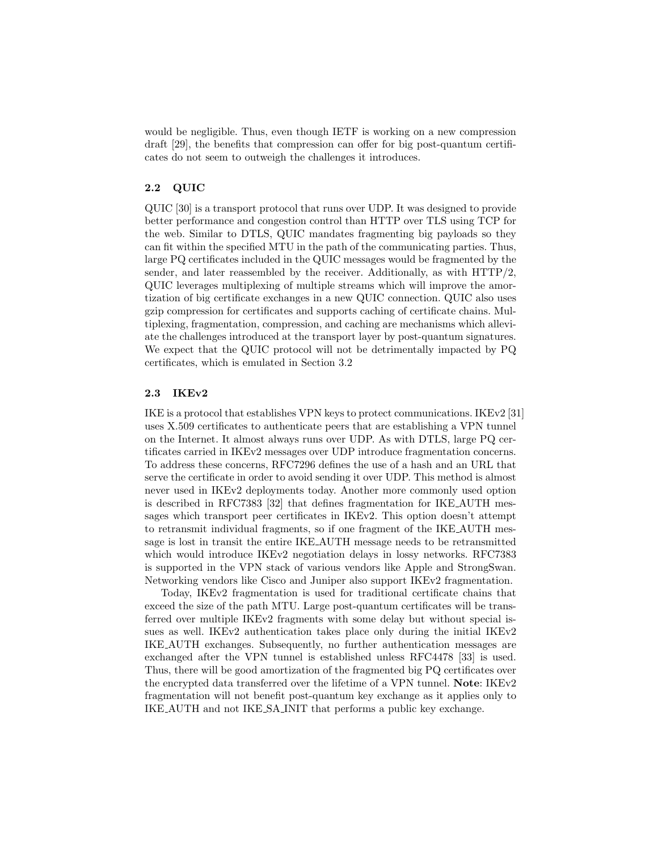would be negligible. Thus, even though IETF is working on a new compression draft [29], the benefits that compression can offer for big post-quantum certificates do not seem to outweigh the challenges it introduces.

### 2.2 QUIC

QUIC [30] is a transport protocol that runs over UDP. It was designed to provide better performance and congestion control than HTTP over TLS using TCP for the web. Similar to DTLS, QUIC mandates fragmenting big payloads so they can fit within the specified MTU in the path of the communicating parties. Thus, large PQ certificates included in the QUIC messages would be fragmented by the sender, and later reassembled by the receiver. Additionally, as with HTTP/2, QUIC leverages multiplexing of multiple streams which will improve the amortization of big certificate exchanges in a new QUIC connection. QUIC also uses gzip compression for certificates and supports caching of certificate chains. Multiplexing, fragmentation, compression, and caching are mechanisms which alleviate the challenges introduced at the transport layer by post-quantum signatures. We expect that the QUIC protocol will not be detrimentally impacted by PQ certificates, which is emulated in Section 3.2

#### 2.3 IKEv2

IKE is a protocol that establishes VPN keys to protect communications. IKEv2 [31] uses X.509 certificates to authenticate peers that are establishing a VPN tunnel on the Internet. It almost always runs over UDP. As with DTLS, large PQ certificates carried in IKEv2 messages over UDP introduce fragmentation concerns. To address these concerns, RFC7296 defines the use of a hash and an URL that serve the certificate in order to avoid sending it over UDP. This method is almost never used in IKEv2 deployments today. Another more commonly used option is described in RFC7383 [32] that defines fragmentation for IKE AUTH messages which transport peer certificates in IKEv2. This option doesn't attempt to retransmit individual fragments, so if one fragment of the IKE AUTH message is lost in transit the entire IKE AUTH message needs to be retransmitted which would introduce IKEv2 negotiation delays in lossy networks. RFC7383 is supported in the VPN stack of various vendors like Apple and StrongSwan. Networking vendors like Cisco and Juniper also support IKEv2 fragmentation.

Today, IKEv2 fragmentation is used for traditional certificate chains that exceed the size of the path MTU. Large post-quantum certificates will be transferred over multiple IKEv2 fragments with some delay but without special issues as well. IKEv2 authentication takes place only during the initial IKEv2 IKE AUTH exchanges. Subsequently, no further authentication messages are exchanged after the VPN tunnel is established unless RFC4478 [33] is used. Thus, there will be good amortization of the fragmented big PQ certificates over the encrypted data transferred over the lifetime of a VPN tunnel. Note: IKEv2 fragmentation will not benefit post-quantum key exchange as it applies only to IKE AUTH and not IKE SA INIT that performs a public key exchange.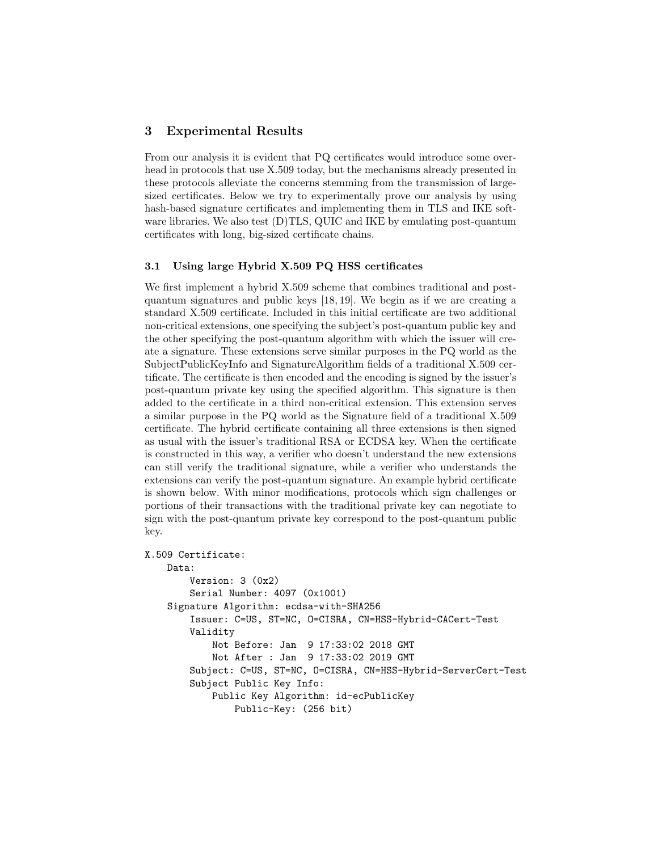# 3 Experimental Results

From our analysis it is evident that PQ certificates would introduce some overhead in protocols that use X.509 today, but the mechanisms already presented in these protocols alleviate the concerns stemming from the transmission of largesized certificates. Below we try to experimentally prove our analysis by using hash-based signature certificates and implementing them in TLS and IKE software libraries. We also test (D)TLS, QUIC and IKE by emulating post-quantum certificates with long, big-sized certificate chains.

### 3.1 Using large Hybrid X.509 PQ HSS certificates

We first implement a hybrid X.509 scheme that combines traditional and postquantum signatures and public keys [18, 19]. We begin as if we are creating a standard X.509 certificate. Included in this initial certificate are two additional non-critical extensions, one specifying the subject's post-quantum public key and the other specifying the post-quantum algorithm with which the issuer will create a signature. These extensions serve similar purposes in the PQ world as the SubjectPublicKeyInfo and SignatureAlgorithm fields of a traditional X.509 certificate. The certificate is then encoded and the encoding is signed by the issuer's post-quantum private key using the specified algorithm. This signature is then added to the certificate in a third non-critical extension. This extension serves a similar purpose in the PQ world as the Signature field of a traditional X.509 certificate. The hybrid certificate containing all three extensions is then signed as usual with the issuer's traditional RSA or ECDSA key. When the certificate is constructed in this way, a verifier who doesn't understand the new extensions can still verify the traditional signature, while a verifier who understands the extensions can verify the post-quantum signature. An example hybrid certificate is shown below. With minor modifications, protocols which sign challenges or portions of their transactions with the traditional private key can negotiate to sign with the post-quantum private key correspond to the post-quantum public key.

```
X.509 Certificate:
```

```
Data:
    Version: 3 (0x2)
    Serial Number: 4097 (0x1001)
Signature Algorithm: ecdsa-with-SHA256
    Issuer: C=US, ST=NC, O=CISRA, CN=HSS-Hybrid-CACert-Test
    Validity
        Not Before: Jan 9 17:33:02 2018 GMT
        Not After : Jan 9 17:33:02 2019 GMT
    Subject: C=US, ST=NC, O=CISRA, CN=HSS-Hybrid-ServerCert-Test
    Subject Public Key Info:
        Public Key Algorithm: id-ecPublicKey
            Public-Key: (256 bit)
```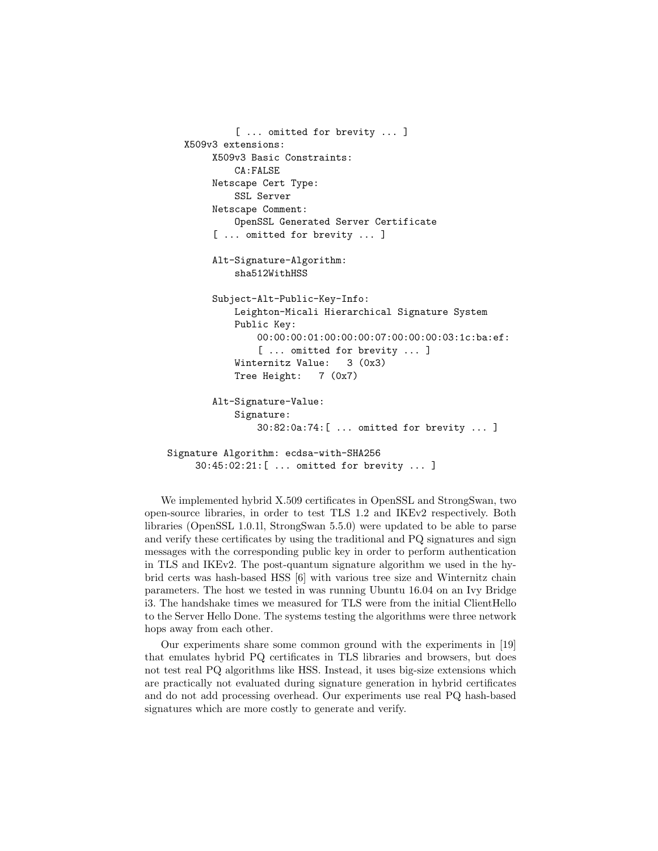```
[ ... omitted for brevity ... ]
   X509v3 extensions:
        X509v3 Basic Constraints:
            CA:FALSE
        Netscape Cert Type:
            SSL Server
        Netscape Comment:
            OpenSSL Generated Server Certificate
        [ ... omitted for brevity ... ]
        Alt-Signature-Algorithm:
            sha512WithHSS
        Subject-Alt-Public-Key-Info:
            Leighton-Micali Hierarchical Signature System
            Public Key:
                00:00:00:01:00:00:00:07:00:00:00:03:1c:ba:ef:
                [ ... omitted for brevity ... ]
            Winternitz Value: 3 (0x3)
            Tree Height: 7 (0x7)
        Alt-Signature-Value:
            Signature:
                30:82:0a:74:[ ... omitted for brevity ... ]
Signature Algorithm: ecdsa-with-SHA256
     30:45:02:21:[ ... omitted for brevity ... ]
```
We implemented hybrid X.509 certificates in OpenSSL and StrongSwan, two open-source libraries, in order to test TLS 1.2 and IKEv2 respectively. Both libraries (OpenSSL 1.0.1l, StrongSwan 5.5.0) were updated to be able to parse and verify these certificates by using the traditional and PQ signatures and sign messages with the corresponding public key in order to perform authentication in TLS and IKEv2. The post-quantum signature algorithm we used in the hybrid certs was hash-based HSS [6] with various tree size and Winternitz chain parameters. The host we tested in was running Ubuntu 16.04 on an Ivy Bridge i3. The handshake times we measured for TLS were from the initial ClientHello to the Server Hello Done. The systems testing the algorithms were three network hops away from each other.

Our experiments share some common ground with the experiments in [19] that emulates hybrid PQ certificates in TLS libraries and browsers, but does not test real PQ algorithms like HSS. Instead, it uses big-size extensions which are practically not evaluated during signature generation in hybrid certificates and do not add processing overhead. Our experiments use real PQ hash-based signatures which are more costly to generate and verify.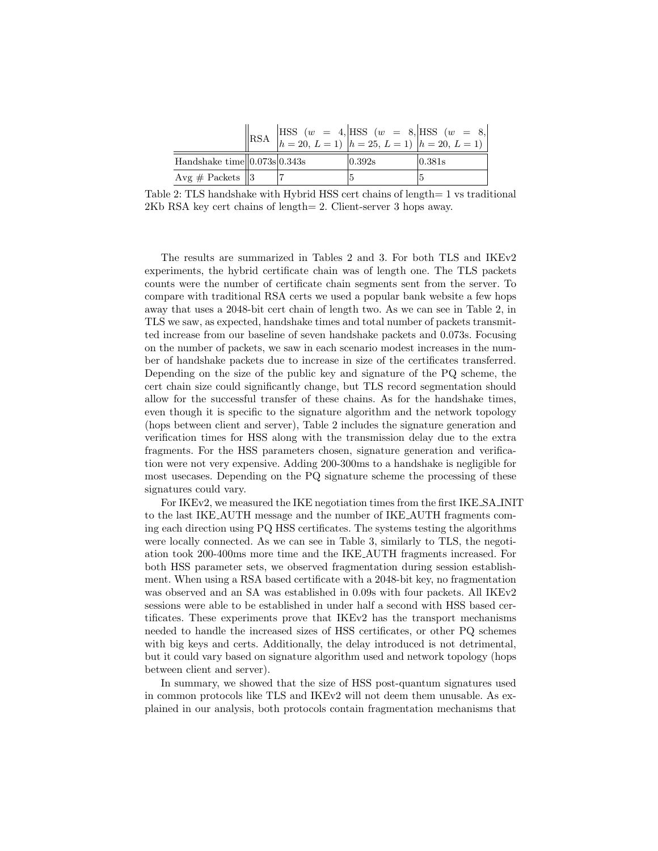|                                              |  |        | RSA $\begin{vmatrix} \text{HSS} & (w = 4, \text{HSS} & (w = 8, \text{HSS} & (w = 8, \text{HSS} & (w = 1, \text{HSS} & (w = 1, \text{HSS} & (w = 1, \text{HSS} & (w = 1, \text{HSS} & (w = 1, \text{HSS} & (w = 1, \text{HSS} & (w = 1, \text{HSS} & (w = 1, \text{HSS} & (w = 1, \text{HSS} & (w = 1, \text{HSS} & (w = 1, \text{HSS} & (w = 1, \text{HSS} & (w = 1, \text$ |
|----------------------------------------------|--|--------|-----------------------------------------------------------------------------------------------------------------------------------------------------------------------------------------------------------------------------------------------------------------------------------------------------------------------------------------------------------------------------|
| Handshake time $\vert$ 0.073s $\vert$ 0.343s |  | 0.392s | 0.381s                                                                                                                                                                                                                                                                                                                                                                      |
| Avg $\#$ Packets $\ 3\ $                     |  |        |                                                                                                                                                                                                                                                                                                                                                                             |

Table 2: TLS handshake with Hybrid HSS cert chains of length= 1 vs traditional 2Kb RSA key cert chains of length= 2. Client-server 3 hops away.

The results are summarized in Tables 2 and 3. For both TLS and IKEv2 experiments, the hybrid certificate chain was of length one. The TLS packets counts were the number of certificate chain segments sent from the server. To compare with traditional RSA certs we used a popular bank website a few hops away that uses a 2048-bit cert chain of length two. As we can see in Table 2, in TLS we saw, as expected, handshake times and total number of packets transmitted increase from our baseline of seven handshake packets and 0.073s. Focusing on the number of packets, we saw in each scenario modest increases in the number of handshake packets due to increase in size of the certificates transferred. Depending on the size of the public key and signature of the PQ scheme, the cert chain size could significantly change, but TLS record segmentation should allow for the successful transfer of these chains. As for the handshake times, even though it is specific to the signature algorithm and the network topology (hops between client and server), Table 2 includes the signature generation and verification times for HSS along with the transmission delay due to the extra fragments. For the HSS parameters chosen, signature generation and verification were not very expensive. Adding 200-300ms to a handshake is negligible for most usecases. Depending on the PQ signature scheme the processing of these signatures could vary.

For IKEv2, we measured the IKE negotiation times from the first IKE SA INIT to the last IKE AUTH message and the number of IKE AUTH fragments coming each direction using PQ HSS certificates. The systems testing the algorithms were locally connected. As we can see in Table 3, similarly to TLS, the negotiation took 200-400ms more time and the IKE AUTH fragments increased. For both HSS parameter sets, we observed fragmentation during session establishment. When using a RSA based certificate with a 2048-bit key, no fragmentation was observed and an SA was established in 0.09s with four packets. All IKEv2 sessions were able to be established in under half a second with HSS based certificates. These experiments prove that IKEv2 has the transport mechanisms needed to handle the increased sizes of HSS certificates, or other PQ schemes with big keys and certs. Additionally, the delay introduced is not detrimental, but it could vary based on signature algorithm used and network topology (hops between client and server).

In summary, we showed that the size of HSS post-quantum signatures used in common protocols like TLS and IKEv2 will not deem them unusable. As explained in our analysis, both protocols contain fragmentation mechanisms that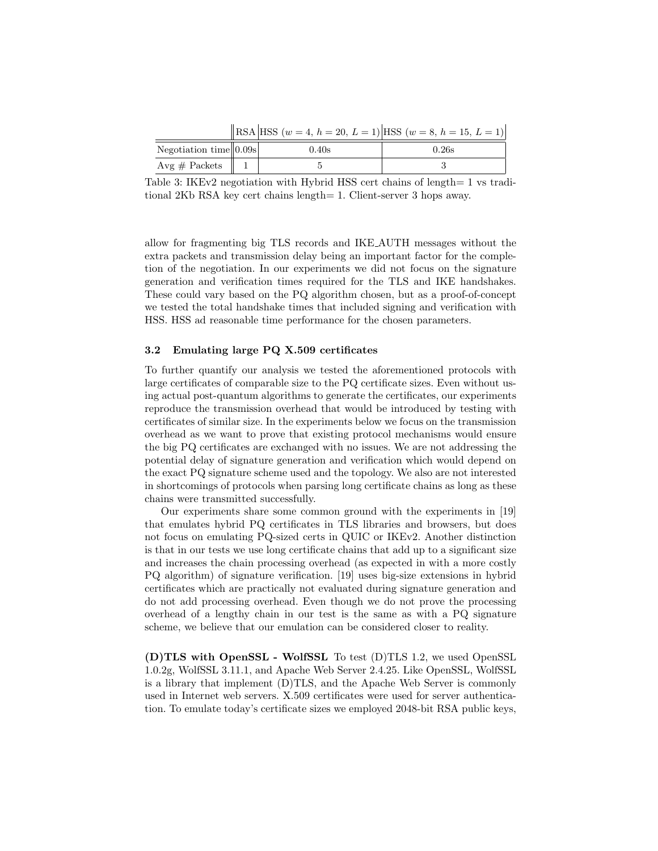|                                 |       | $\ \text{RSA}\ \text{HSS}(w=4, h=20, L=1)\ \text{HSS}(w=8, h=15, L=1)\ $ |
|---------------------------------|-------|--------------------------------------------------------------------------|
| Negotiation time $\vert 0.09$ s | 0.40s | 0.26s                                                                    |
| Avg # Packets $\Box$            |       |                                                                          |

Table 3: IKEv2 negotiation with Hybrid HSS cert chains of length= 1 vs traditional 2Kb RSA key cert chains length= 1. Client-server 3 hops away.

allow for fragmenting big TLS records and IKE AUTH messages without the extra packets and transmission delay being an important factor for the completion of the negotiation. In our experiments we did not focus on the signature generation and verification times required for the TLS and IKE handshakes. These could vary based on the PQ algorithm chosen, but as a proof-of-concept we tested the total handshake times that included signing and verification with HSS. HSS ad reasonable time performance for the chosen parameters.

#### 3.2 Emulating large PQ X.509 certificates

To further quantify our analysis we tested the aforementioned protocols with large certificates of comparable size to the PQ certificate sizes. Even without using actual post-quantum algorithms to generate the certificates, our experiments reproduce the transmission overhead that would be introduced by testing with certificates of similar size. In the experiments below we focus on the transmission overhead as we want to prove that existing protocol mechanisms would ensure the big PQ certificates are exchanged with no issues. We are not addressing the potential delay of signature generation and verification which would depend on the exact PQ signature scheme used and the topology. We also are not interested in shortcomings of protocols when parsing long certificate chains as long as these chains were transmitted successfully.

Our experiments share some common ground with the experiments in [19] that emulates hybrid PQ certificates in TLS libraries and browsers, but does not focus on emulating PQ-sized certs in QUIC or IKEv2. Another distinction is that in our tests we use long certificate chains that add up to a significant size and increases the chain processing overhead (as expected in with a more costly PQ algorithm) of signature verification. [19] uses big-size extensions in hybrid certificates which are practically not evaluated during signature generation and do not add processing overhead. Even though we do not prove the processing overhead of a lengthy chain in our test is the same as with a PQ signature scheme, we believe that our emulation can be considered closer to reality.

(D)TLS with OpenSSL - WolfSSL To test (D)TLS 1.2, we used OpenSSL 1.0.2g, WolfSSL 3.11.1, and Apache Web Server 2.4.25. Like OpenSSL, WolfSSL is a library that implement (D)TLS, and the Apache Web Server is commonly used in Internet web servers. X.509 certificates were used for server authentication. To emulate today's certificate sizes we employed 2048-bit RSA public keys,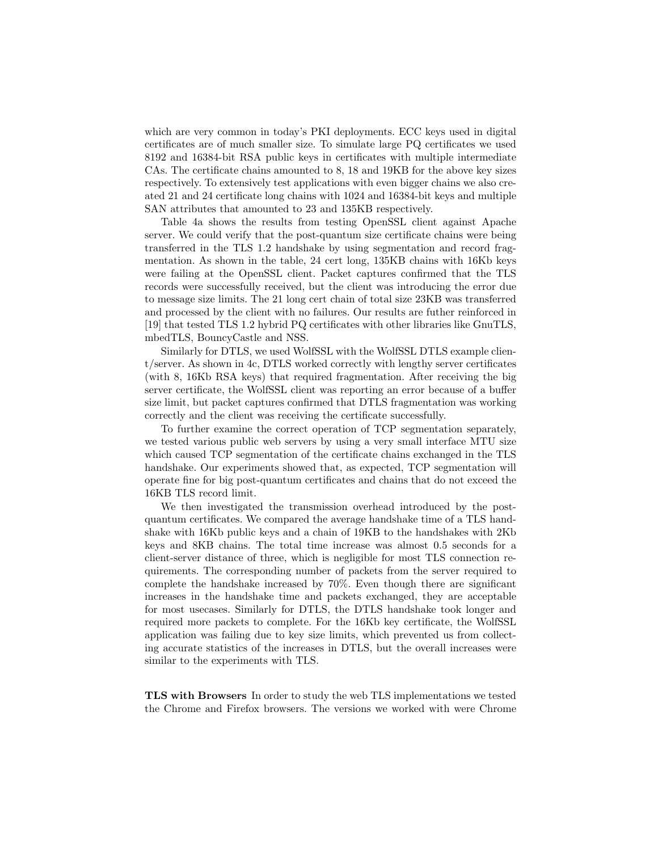which are very common in today's PKI deployments. ECC keys used in digital certificates are of much smaller size. To simulate large PQ certificates we used 8192 and 16384-bit RSA public keys in certificates with multiple intermediate CAs. The certificate chains amounted to 8, 18 and 19KB for the above key sizes respectively. To extensively test applications with even bigger chains we also created 21 and 24 certificate long chains with 1024 and 16384-bit keys and multiple SAN attributes that amounted to 23 and 135KB respectively.

Table 4a shows the results from testing OpenSSL client against Apache server. We could verify that the post-quantum size certificate chains were being transferred in the TLS 1.2 handshake by using segmentation and record fragmentation. As shown in the table, 24 cert long, 135KB chains with 16Kb keys were failing at the OpenSSL client. Packet captures confirmed that the TLS records were successfully received, but the client was introducing the error due to message size limits. The 21 long cert chain of total size 23KB was transferred and processed by the client with no failures. Our results are futher reinforced in [19] that tested TLS 1.2 hybrid PQ certificates with other libraries like GnuTLS, mbedTLS, BouncyCastle and NSS.

Similarly for DTLS, we used WolfSSL with the WolfSSL DTLS example client/server. As shown in 4c, DTLS worked correctly with lengthy server certificates (with 8, 16Kb RSA keys) that required fragmentation. After receiving the big server certificate, the WolfSSL client was reporting an error because of a buffer size limit, but packet captures confirmed that DTLS fragmentation was working correctly and the client was receiving the certificate successfully.

To further examine the correct operation of TCP segmentation separately, we tested various public web servers by using a very small interface MTU size which caused TCP segmentation of the certificate chains exchanged in the TLS handshake. Our experiments showed that, as expected, TCP segmentation will operate fine for big post-quantum certificates and chains that do not exceed the 16KB TLS record limit.

We then investigated the transmission overhead introduced by the postquantum certificates. We compared the average handshake time of a TLS handshake with 16Kb public keys and a chain of 19KB to the handshakes with 2Kb keys and 8KB chains. The total time increase was almost 0.5 seconds for a client-server distance of three, which is negligible for most TLS connection requirements. The corresponding number of packets from the server required to complete the handshake increased by 70%. Even though there are significant increases in the handshake time and packets exchanged, they are acceptable for most usecases. Similarly for DTLS, the DTLS handshake took longer and required more packets to complete. For the 16Kb key certificate, the WolfSSL application was failing due to key size limits, which prevented us from collecting accurate statistics of the increases in DTLS, but the overall increases were similar to the experiments with TLS.

TLS with Browsers In order to study the web TLS implementations we tested the Chrome and Firefox browsers. The versions we worked with were Chrome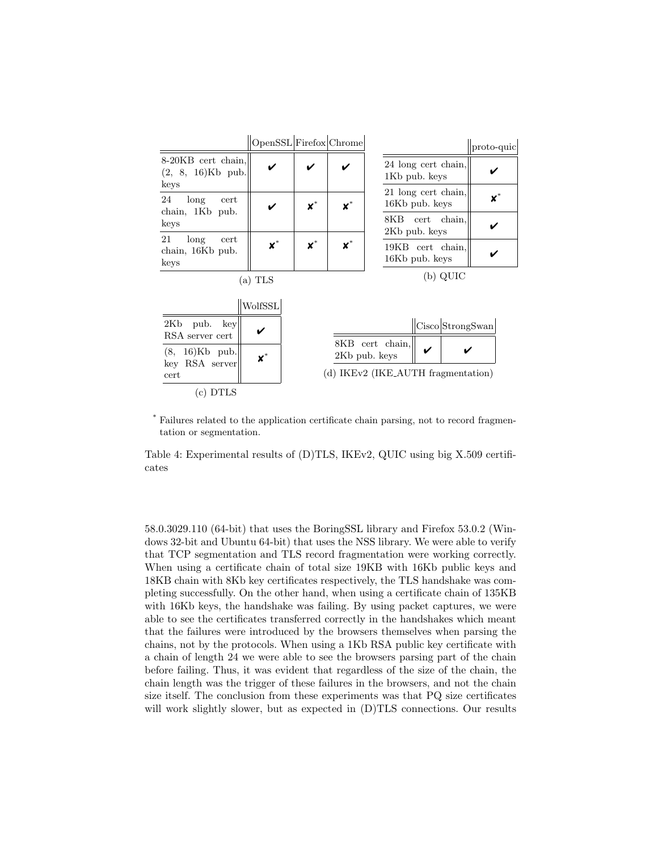|                                                    | OpenSSL Firefox Chrome |                                  |                             |                                       | proto-quic     |  |
|----------------------------------------------------|------------------------|----------------------------------|-----------------------------|---------------------------------------|----------------|--|
| 8-20KB cert chain,<br>$(2, 8, 16)$ Kb pub.<br>keys |                        |                                  |                             | 24 long cert chain,<br>1Kb pub. keys  |                |  |
| 24<br>long<br>cert<br>chain, 1Kb pub.              |                        | $\boldsymbol{\mathsf{x}}^*$      | $\mathbf{x}^*$              | 21 long cert chain,<br>16Kb pub. keys | $\mathbf{x}^*$ |  |
| keys                                               |                        |                                  |                             | 8KB cert chain.<br>2Kb pub. keys      |                |  |
| 21<br>long<br>cert<br>chain, 16Kb pub.<br>keys     | $\mathbf{x}^*$         | $\boldsymbol{x}^*$               | $\boldsymbol{\mathsf{x}}^*$ | 19KB cert chain.<br>16Kb pub. keys    |                |  |
|                                                    | $(a)$ TLS              |                                  |                             | $(b)$ QUIC                            |                |  |
|                                                    | WolfSSL                |                                  |                             |                                       |                |  |
| $2\mathrm{Kb}$<br>pub. key<br>RSA server cert      |                        |                                  |                             | Cisco StrongSwan                      |                |  |
| $(8, 16)$ Kb pub.<br>key RSA server                | $\mathbf{x}^*$         | 8KB cert chain,<br>2Kb pub. keys |                             |                                       |                |  |
| cert                                               |                        |                                  |                             | (d) IKEv2 (IKE_AUTH fragmentation)    |                |  |
| $(c)$ DTLS                                         |                        |                                  |                             |                                       |                |  |

\* Failures related to the application certificate chain parsing, not to record fragmentation or segmentation.

Table 4: Experimental results of (D)TLS, IKEv2, QUIC using big X.509 certificates

58.0.3029.110 (64-bit) that uses the BoringSSL library and Firefox 53.0.2 (Windows 32-bit and Ubuntu 64-bit) that uses the NSS library. We were able to verify that TCP segmentation and TLS record fragmentation were working correctly. When using a certificate chain of total size 19KB with 16Kb public keys and 18KB chain with 8Kb key certificates respectively, the TLS handshake was completing successfully. On the other hand, when using a certificate chain of 135KB with 16Kb keys, the handshake was failing. By using packet captures, we were able to see the certificates transferred correctly in the handshakes which meant that the failures were introduced by the browsers themselves when parsing the chains, not by the protocols. When using a 1Kb RSA public key certificate with a chain of length 24 we were able to see the browsers parsing part of the chain before failing. Thus, it was evident that regardless of the size of the chain, the chain length was the trigger of these failures in the browsers, and not the chain size itself. The conclusion from these experiments was that PQ size certificates will work slightly slower, but as expected in  $(D)$ TLS connections. Our results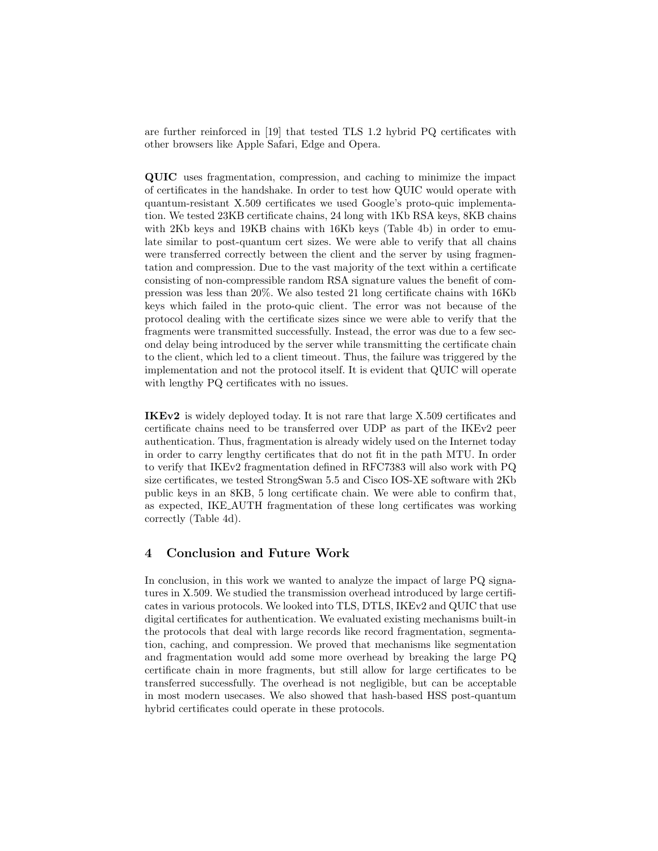are further reinforced in [19] that tested TLS 1.2 hybrid PQ certificates with other browsers like Apple Safari, Edge and Opera.

QUIC uses fragmentation, compression, and caching to minimize the impact of certificates in the handshake. In order to test how QUIC would operate with quantum-resistant X.509 certificates we used Google's proto-quic implementation. We tested 23KB certificate chains, 24 long with 1Kb RSA keys, 8KB chains with 2Kb keys and 19KB chains with 16Kb keys (Table 4b) in order to emulate similar to post-quantum cert sizes. We were able to verify that all chains were transferred correctly between the client and the server by using fragmentation and compression. Due to the vast majority of the text within a certificate consisting of non-compressible random RSA signature values the benefit of compression was less than 20%. We also tested 21 long certificate chains with 16Kb keys which failed in the proto-quic client. The error was not because of the protocol dealing with the certificate sizes since we were able to verify that the fragments were transmitted successfully. Instead, the error was due to a few second delay being introduced by the server while transmitting the certificate chain to the client, which led to a client timeout. Thus, the failure was triggered by the implementation and not the protocol itself. It is evident that QUIC will operate with lengthy PQ certificates with no issues.

IKEv2 is widely deployed today. It is not rare that large X.509 certificates and certificate chains need to be transferred over UDP as part of the IKEv2 peer authentication. Thus, fragmentation is already widely used on the Internet today in order to carry lengthy certificates that do not fit in the path MTU. In order to verify that IKEv2 fragmentation defined in RFC7383 will also work with PQ size certificates, we tested StrongSwan 5.5 and Cisco IOS-XE software with 2Kb public keys in an 8KB, 5 long certificate chain. We were able to confirm that, as expected, IKE AUTH fragmentation of these long certificates was working correctly (Table 4d).

# 4 Conclusion and Future Work

In conclusion, in this work we wanted to analyze the impact of large PQ signatures in X.509. We studied the transmission overhead introduced by large certificates in various protocols. We looked into TLS, DTLS, IKEv2 and QUIC that use digital certificates for authentication. We evaluated existing mechanisms built-in the protocols that deal with large records like record fragmentation, segmentation, caching, and compression. We proved that mechanisms like segmentation and fragmentation would add some more overhead by breaking the large PQ certificate chain in more fragments, but still allow for large certificates to be transferred successfully. The overhead is not negligible, but can be acceptable in most modern usecases. We also showed that hash-based HSS post-quantum hybrid certificates could operate in these protocols.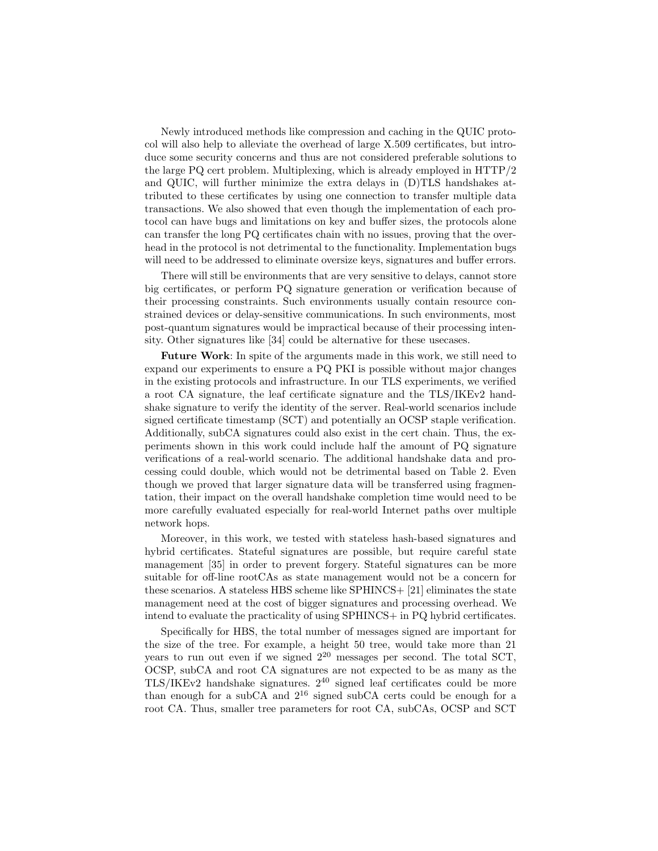Newly introduced methods like compression and caching in the QUIC protocol will also help to alleviate the overhead of large X.509 certificates, but introduce some security concerns and thus are not considered preferable solutions to the large PQ cert problem. Multiplexing, which is already employed in HTTP/2 and QUIC, will further minimize the extra delays in (D)TLS handshakes attributed to these certificates by using one connection to transfer multiple data transactions. We also showed that even though the implementation of each protocol can have bugs and limitations on key and buffer sizes, the protocols alone can transfer the long PQ certificates chain with no issues, proving that the overhead in the protocol is not detrimental to the functionality. Implementation bugs will need to be addressed to eliminate oversize keys, signatures and buffer errors.

There will still be environments that are very sensitive to delays, cannot store big certificates, or perform PQ signature generation or verification because of their processing constraints. Such environments usually contain resource constrained devices or delay-sensitive communications. In such environments, most post-quantum signatures would be impractical because of their processing intensity. Other signatures like [34] could be alternative for these usecases.

Future Work: In spite of the arguments made in this work, we still need to expand our experiments to ensure a PQ PKI is possible without major changes in the existing protocols and infrastructure. In our TLS experiments, we verified a root CA signature, the leaf certificate signature and the TLS/IKEv2 handshake signature to verify the identity of the server. Real-world scenarios include signed certificate timestamp (SCT) and potentially an OCSP staple verification. Additionally, subCA signatures could also exist in the cert chain. Thus, the experiments shown in this work could include half the amount of PQ signature verifications of a real-world scenario. The additional handshake data and processing could double, which would not be detrimental based on Table 2. Even though we proved that larger signature data will be transferred using fragmentation, their impact on the overall handshake completion time would need to be more carefully evaluated especially for real-world Internet paths over multiple network hops.

Moreover, in this work, we tested with stateless hash-based signatures and hybrid certificates. Stateful signatures are possible, but require careful state management [35] in order to prevent forgery. Stateful signatures can be more suitable for off-line rootCAs as state management would not be a concern for these scenarios. A stateless HBS scheme like SPHINCS+ [21] eliminates the state management need at the cost of bigger signatures and processing overhead. We intend to evaluate the practicality of using SPHINCS+ in PQ hybrid certificates.

Specifically for HBS, the total number of messages signed are important for the size of the tree. For example, a height 50 tree, would take more than 21 years to run out even if we signed  $2^{20}$  messages per second. The total SCT, OCSP, subCA and root CA signatures are not expected to be as many as the  $TLS/IKEv2$  handshake signatures.  $2^{40}$  signed leaf certificates could be more than enough for a subCA and  $2^{16}$  signed subCA certs could be enough for a root CA. Thus, smaller tree parameters for root CA, subCAs, OCSP and SCT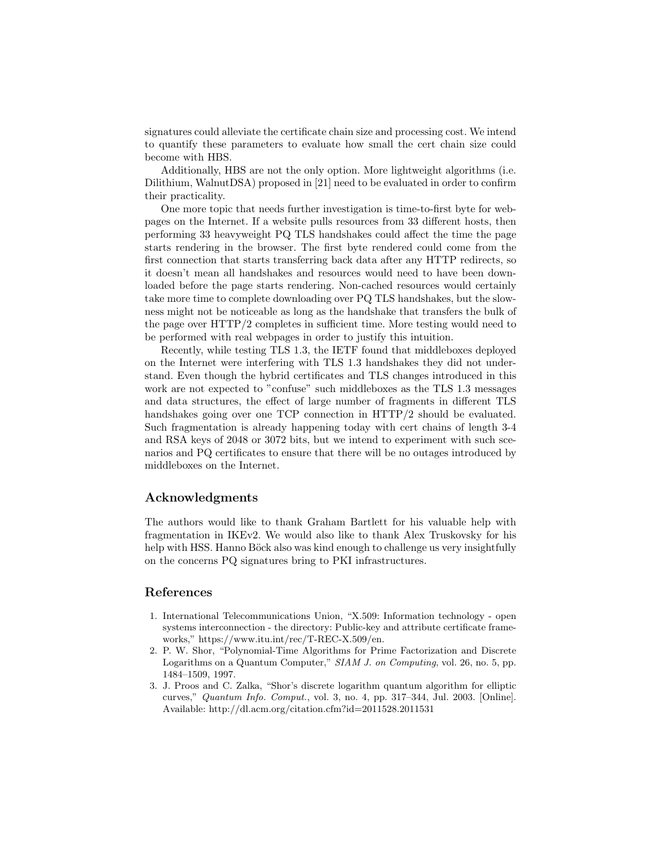signatures could alleviate the certificate chain size and processing cost. We intend to quantify these parameters to evaluate how small the cert chain size could become with HBS.

Additionally, HBS are not the only option. More lightweight algorithms (i.e. Dilithium, WalnutDSA) proposed in [21] need to be evaluated in order to confirm their practicality.

One more topic that needs further investigation is time-to-first byte for webpages on the Internet. If a website pulls resources from 33 different hosts, then performing 33 heavyweight PQ TLS handshakes could affect the time the page starts rendering in the browser. The first byte rendered could come from the first connection that starts transferring back data after any HTTP redirects, so it doesn't mean all handshakes and resources would need to have been downloaded before the page starts rendering. Non-cached resources would certainly take more time to complete downloading over PQ TLS handshakes, but the slowness might not be noticeable as long as the handshake that transfers the bulk of the page over HTTP/2 completes in sufficient time. More testing would need to be performed with real webpages in order to justify this intuition.

Recently, while testing TLS 1.3, the IETF found that middleboxes deployed on the Internet were interfering with TLS 1.3 handshakes they did not understand. Even though the hybrid certificates and TLS changes introduced in this work are not expected to "confuse" such middleboxes as the TLS 1.3 messages and data structures, the effect of large number of fragments in different TLS handshakes going over one TCP connection in HTTP/2 should be evaluated. Such fragmentation is already happening today with cert chains of length 3-4 and RSA keys of 2048 or 3072 bits, but we intend to experiment with such scenarios and PQ certificates to ensure that there will be no outages introduced by middleboxes on the Internet.

### Acknowledgments

The authors would like to thank Graham Bartlett for his valuable help with fragmentation in IKEv2. We would also like to thank Alex Truskovsky for his help with HSS. Hanno Böck also was kind enough to challenge us very insightfully on the concerns PQ signatures bring to PKI infrastructures.

### References

- 1. International Telecommunications Union, "X.509: Information technology open systems interconnection - the directory: Public-key and attribute certificate frameworks," https://www.itu.int/rec/T-REC-X.509/en.
- 2. P. W. Shor, "Polynomial-Time Algorithms for Prime Factorization and Discrete Logarithms on a Quantum Computer," SIAM J. on Computing, vol. 26, no. 5, pp. 1484–1509, 1997.
- 3. J. Proos and C. Zalka, "Shor's discrete logarithm quantum algorithm for elliptic curves," Quantum Info. Comput., vol. 3, no. 4, pp. 317–344, Jul. 2003. [Online]. Available: http://dl.acm.org/citation.cfm?id=2011528.2011531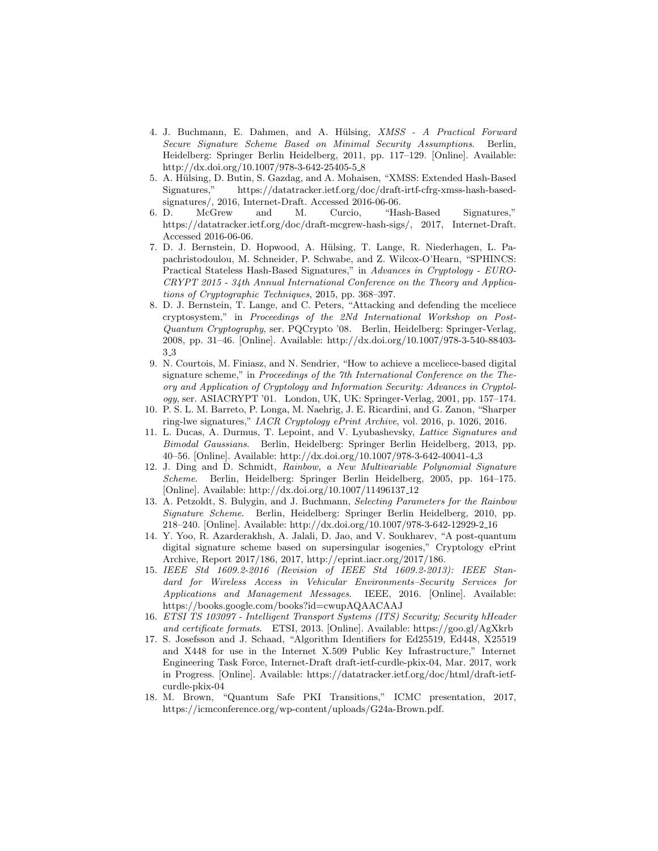- 4. J. Buchmann, E. Dahmen, and A. Hülsing, XMSS A Practical Forward Secure Signature Scheme Based on Minimal Security Assumptions. Berlin, Heidelberg: Springer Berlin Heidelberg, 2011, pp. 117–129. [Online]. Available: http://dx.doi.org/10.1007/978-3-642-25405-5 8
- 5. A. H¨ulsing, D. Butin, S. Gazdag, and A. Mohaisen, "XMSS: Extended Hash-Based Signatures," https://datatracker.ietf.org/doc/draft-irtf-cfrg-xmss-hash-basedsignatures/, 2016, Internet-Draft. Accessed 2016-06-06.
- 6. D. McGrew and M. Curcio, "Hash-Based Signatures," https://datatracker.ietf.org/doc/draft-mcgrew-hash-sigs/, 2017, Internet-Draft. Accessed 2016-06-06.
- 7. D. J. Bernstein, D. Hopwood, A. Hülsing, T. Lange, R. Niederhagen, L. Papachristodoulou, M. Schneider, P. Schwabe, and Z. Wilcox-O'Hearn, "SPHINCS: Practical Stateless Hash-Based Signatures," in Advances in Cryptology - EURO-CRYPT 2015 - 34th Annual International Conference on the Theory and Applications of Cryptographic Techniques, 2015, pp. 368–397.
- 8. D. J. Bernstein, T. Lange, and C. Peters, "Attacking and defending the mceliece cryptosystem," in Proceedings of the 2Nd International Workshop on Post-Quantum Cryptography, ser. PQCrypto '08. Berlin, Heidelberg: Springer-Verlag, 2008, pp. 31–46. [Online]. Available: http://dx.doi.org/10.1007/978-3-540-88403- 3 3
- 9. N. Courtois, M. Finiasz, and N. Sendrier, "How to achieve a mceliece-based digital signature scheme," in *Proceedings of the 7th International Conference on the The*ory and Application of Cryptology and Information Security: Advances in Cryptology, ser. ASIACRYPT '01. London, UK, UK: Springer-Verlag, 2001, pp. 157–174.
- 10. P. S. L. M. Barreto, P. Longa, M. Naehrig, J. E. Ricardini, and G. Zanon, "Sharper ring-lwe signatures," IACR Cryptology ePrint Archive, vol. 2016, p. 1026, 2016.
- 11. L. Ducas, A. Durmus, T. Lepoint, and V. Lyubashevsky, Lattice Signatures and Bimodal Gaussians. Berlin, Heidelberg: Springer Berlin Heidelberg, 2013, pp. 40–56. [Online]. Available: http://dx.doi.org/10.1007/978-3-642-40041-4 3
- 12. J. Ding and D. Schmidt, Rainbow, a New Multivariable Polynomial Signature Scheme. Berlin, Heidelberg: Springer Berlin Heidelberg, 2005, pp. 164–175. [Online]. Available: http://dx.doi.org/10.1007/11496137 12
- 13. A. Petzoldt, S. Bulygin, and J. Buchmann, Selecting Parameters for the Rainbow Signature Scheme. Berlin, Heidelberg: Springer Berlin Heidelberg, 2010, pp. 218–240. [Online]. Available: http://dx.doi.org/10.1007/978-3-642-12929-2 16
- 14. Y. Yoo, R. Azarderakhsh, A. Jalali, D. Jao, and V. Soukharev, "A post-quantum digital signature scheme based on supersingular isogenies," Cryptology ePrint Archive, Report 2017/186, 2017, http://eprint.iacr.org/2017/186.
- 15. IEEE Std 1609.2-2016 (Revision of IEEE Std 1609.2-2013): IEEE Standard for Wireless Access in Vehicular Environments–Security Services for Applications and Management Messages. IEEE, 2016. [Online]. Available: https://books.google.com/books?id=cwupAQAACAAJ
- 16. ETSI TS 103097 Intelligent Transport Systems (ITS) Security; Security hHeader and certificate formats. ETSI, 2013. [Online]. Available: https://goo.gl/AgXkrb
- 17. S. Josefsson and J. Schaad, "Algorithm Identifiers for Ed25519, Ed448, X25519 and X448 for use in the Internet X.509 Public Key Infrastructure," Internet Engineering Task Force, Internet-Draft draft-ietf-curdle-pkix-04, Mar. 2017, work in Progress. [Online]. Available: https://datatracker.ietf.org/doc/html/draft-ietfcurdle-pkix-04
- 18. M. Brown, "Quantum Safe PKI Transitions," ICMC presentation, 2017, https://icmconference.org/wp-content/uploads/G24a-Brown.pdf.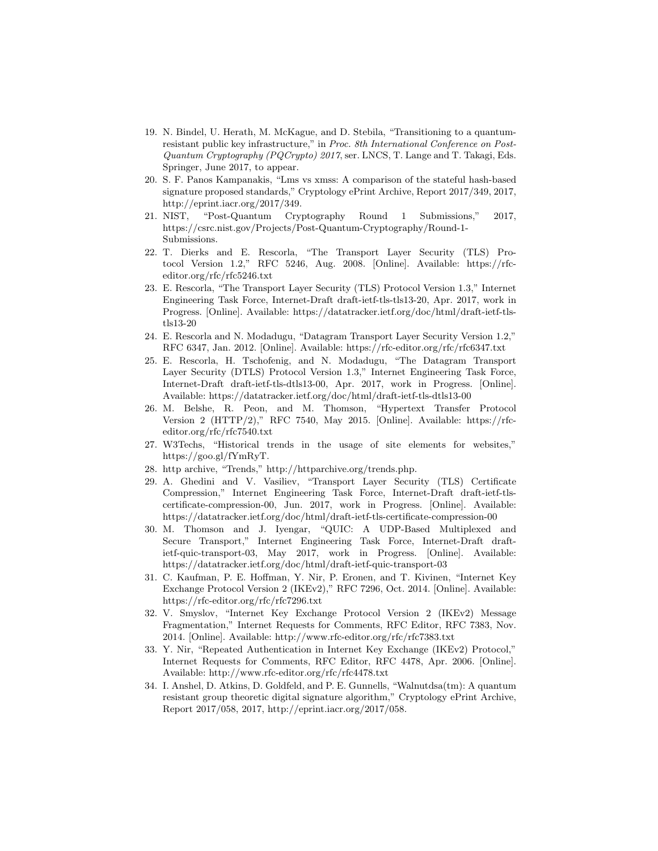- 19. N. Bindel, U. Herath, M. McKague, and D. Stebila, "Transitioning to a quantumresistant public key infrastructure," in Proc. 8th International Conference on Post-Quantum Cryptography (PQCrypto) 2017, ser. LNCS, T. Lange and T. Takagi, Eds. Springer, June 2017, to appear.
- 20. S. F. Panos Kampanakis, "Lms vs xmss: A comparison of the stateful hash-based signature proposed standards," Cryptology ePrint Archive, Report 2017/349, 2017, http://eprint.iacr.org/2017/349.
- 21. NIST, "Post-Quantum Cryptography Round 1 Submissions," 2017, https://csrc.nist.gov/Projects/Post-Quantum-Cryptography/Round-1- Submissions.
- 22. T. Dierks and E. Rescorla, "The Transport Layer Security (TLS) Protocol Version 1.2," RFC 5246, Aug. 2008. [Online]. Available: https://rfceditor.org/rfc/rfc5246.txt
- 23. E. Rescorla, "The Transport Layer Security (TLS) Protocol Version 1.3," Internet Engineering Task Force, Internet-Draft draft-ietf-tls-tls13-20, Apr. 2017, work in Progress. [Online]. Available: https://datatracker.ietf.org/doc/html/draft-ietf-tlstls13-20
- 24. E. Rescorla and N. Modadugu, "Datagram Transport Layer Security Version 1.2," RFC 6347, Jan. 2012. [Online]. Available: https://rfc-editor.org/rfc/rfc6347.txt
- 25. E. Rescorla, H. Tschofenig, and N. Modadugu, "The Datagram Transport Layer Security (DTLS) Protocol Version 1.3," Internet Engineering Task Force, Internet-Draft draft-ietf-tls-dtls13-00, Apr. 2017, work in Progress. [Online]. Available: https://datatracker.ietf.org/doc/html/draft-ietf-tls-dtls13-00
- 26. M. Belshe, R. Peon, and M. Thomson, "Hypertext Transfer Protocol Version 2 (HTTP/2)," RFC 7540, May 2015. [Online]. Available: https://rfceditor.org/rfc/rfc7540.txt
- 27. W3Techs, "Historical trends in the usage of site elements for websites," https://goo.gl/fYmRyT.
- 28. http archive, "Trends," http://httparchive.org/trends.php.
- 29. A. Ghedini and V. Vasiliev, "Transport Layer Security (TLS) Certificate Compression," Internet Engineering Task Force, Internet-Draft draft-ietf-tlscertificate-compression-00, Jun. 2017, work in Progress. [Online]. Available: https://datatracker.ietf.org/doc/html/draft-ietf-tls-certificate-compression-00
- 30. M. Thomson and J. Iyengar, "QUIC: A UDP-Based Multiplexed and Secure Transport," Internet Engineering Task Force, Internet-Draft draftietf-quic-transport-03, May 2017, work in Progress. [Online]. Available: https://datatracker.ietf.org/doc/html/draft-ietf-quic-transport-03
- 31. C. Kaufman, P. E. Hoffman, Y. Nir, P. Eronen, and T. Kivinen, "Internet Key Exchange Protocol Version 2 (IKEv2)," RFC 7296, Oct. 2014. [Online]. Available: https://rfc-editor.org/rfc/rfc7296.txt
- 32. V. Smyslov, "Internet Key Exchange Protocol Version 2 (IKEv2) Message Fragmentation," Internet Requests for Comments, RFC Editor, RFC 7383, Nov. 2014. [Online]. Available: http://www.rfc-editor.org/rfc/rfc7383.txt
- 33. Y. Nir, "Repeated Authentication in Internet Key Exchange (IKEv2) Protocol," Internet Requests for Comments, RFC Editor, RFC 4478, Apr. 2006. [Online]. Available: http://www.rfc-editor.org/rfc/rfc4478.txt
- 34. I. Anshel, D. Atkins, D. Goldfeld, and P. E. Gunnells, "Walnutdsa(tm): A quantum resistant group theoretic digital signature algorithm," Cryptology ePrint Archive, Report 2017/058, 2017, http://eprint.iacr.org/2017/058.